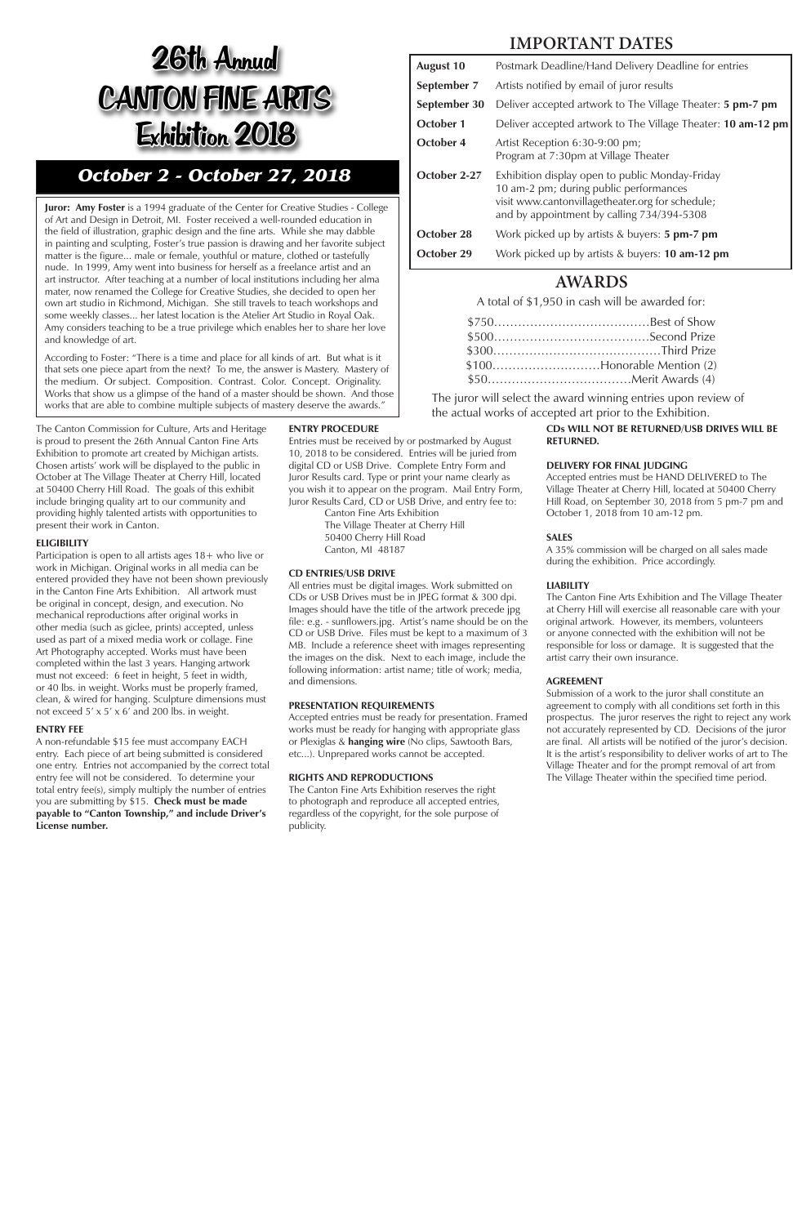## **IMPORTANT DATES**

| <b>August 10</b> | Postmark Deadline/Hand Delivery Deadline for entries                                                                                                                                        |
|------------------|---------------------------------------------------------------------------------------------------------------------------------------------------------------------------------------------|
| September 7      | Artists notified by email of juror results                                                                                                                                                  |
| September 30     | Deliver accepted artwork to The Village Theater: <b>5 pm-7 pm</b>                                                                                                                           |
| October 1        | Deliver accepted artwork to The Village Theater: <b>10 am-12 pm</b>                                                                                                                         |
| October 4        | Artist Reception 6:30-9:00 pm;<br>Program at 7:30pm at Village Theater                                                                                                                      |
| October 2-27     | Exhibition display open to public Monday-Friday<br>10 am-2 pm; during public performances<br>visit www.cantonvillagetheater.org for schedule;<br>and by appointment by calling 734/394-5308 |
| October 28       | Work picked up by artists $&$ buyers: <b>5 pm-7 pm</b>                                                                                                                                      |
| October 29       | Work picked up by artists & buyers: <b>10 am-12 pm</b>                                                                                                                                      |

### **AWARDS**

A total of \$1,950 in cash will be awarded for:

| $$100$ Honorable Mention (2) |
|------------------------------|
|                              |

The juror will select the award winning entries upon review of the actual works of accepted art prior to the Exhibition.

**Juror: Amy Foster** is a 1994 graduate of the Center for Creative Studies - College of Art and Design in Detroit, MI. Foster received a well-rounded education in the field of illustration, graphic design and the fine arts. While she may dabble in painting and sculpting, Foster's true passion is drawing and her favorite subject matter is the figure... male or female, youthful or mature, clothed or tastefully nude. In 1999, Amy went into business for herself as a freelance artist and an art instructor. After teaching at a number of local institutions including her alma mater, now renamed the College for Creative Studies, she decided to open her own art studio in Richmond, Michigan. She still travels to teach workshops and some weekly classes... her latest location is the Atelier Art Studio in Royal Oak. Amy considers teaching to be a true privilege which enables her to share her love and knowledge of art.

According to Foster: "There is a time and place for all kinds of art. But what is it that sets one piece apart from the next? To me, the answer is Mastery. Mastery of the medium. Or subject. Composition. Contrast. Color. Concept. Originality. Works that show us a glimpse of the hand of a master should be shown. And those works that are able to combine multiple subjects of mastery deserve the awards."

> **CDs WILL NOT BE RETURNED/USB DRIVES WILL BE RETURNED.**

#### **DELIVERY FOR FINAL JUDGING**

Accepted entries must be HAND DELIVERED to The Village Theater at Cherry Hill, located at 50400 Cherry Hill Road, on September 30, 2018 from 5 pm-7 pm and October 1, 2018 from 10 am-12 pm.

#### **SALES**

A 35% commission will be charged on all sales made during the exhibition. Price accordingly.

#### **LIABILITY**

The Canton Fine Arts Exhibition and The Village Theater at Cherry Hill will exercise all reasonable care with your original artwork. However, its members, volunteers or anyone connected with the exhibition will not be responsible for loss or damage. It is suggested that the artist carry their own insurance.

#### **AGREEMENT**

Submission of a work to the juror shall constitute an agreement to comply with all conditions set forth in this prospectus. The juror reserves the right to reject any work not accurately represented by CD. Decisions of the juror are final. All artists will be notified of the juror's decision. It is the artist's responsibility to deliver works of art to The Village Theater and for the prompt removal of art from The Village Theater within the specified time period.

#### **ENTRY PROCEDURE**

Entries must be received by or postmarked by August 10, 2018 to be considered. Entries will be juried from digital CD or USB Drive. Complete Entry Form and Juror Results card. Type or print your name clearly as you wish it to appear on the program. Mail Entry Form, Juror Results Card, CD or USB Drive, and entry fee to:

Canton Fine Arts Exhibition The Village Theater at Cherry Hill 50400 Cherry Hill Road Canton, MI 48187

#### **CD ENTRIES/USB DRIVE**

All entries must be digital images. Work submitted on CDs or USB Drives must be in JPEG format & 300 dpi. Images should have the title of the artwork precede jpg file: e.g. - sunflowers.jpg. Artist's name should be on the CD or USB Drive. Files must be kept to a maximum of 3 MB. Include a reference sheet with images representing the images on the disk. Next to each image, include the following information: artist name; title of work; media, and dimensions.

#### **PRESENTATION REQUIREMENTS**

Accepted entries must be ready for presentation. Framed works must be ready for hanging with appropriate glass or Plexiglas & **hanging wire** (No clips, Sawtooth Bars, etc...). Unprepared works cannot be accepted.

#### **RIGHTS AND REPRODUCTIONS**

The Canton Fine Arts Exhibition reserves the right to photograph and reproduce all accepted entries, regardless of the copyright, for the sole purpose of publicity.

The Canton Commission for Culture, Arts and Heritage is proud to present the 26th Annual Canton Fine Arts Exhibition to promote art created by Michigan artists. Chosen artists' work will be displayed to the public in October at The Village Theater at Cherry Hill, located at 50400 Cherry Hill Road. The goals of this exhibit include bringing quality art to our community and providing highly talented artists with opportunities to present their work in Canton.

#### **ELIGIBILITY**

Participation is open to all artists ages 18+ who live or work in Michigan. Original works in all media can be entered provided they have not been shown previously in the Canton Fine Arts Exhibition. All artwork must be original in concept, design, and execution. No mechanical reproductions after original works in other media (such as giclee, prints) accepted, unless used as part of a mixed media work or collage. Fine Art Photography accepted. Works must have been completed within the last 3 years. Hanging artwork must not exceed: 6 feet in height, 5 feet in width, or 40 lbs. in weight. Works must be properly framed, clean, & wired for hanging. Sculpture dimensions must not exceed 5' x 5' x 6' and 200 lbs. in weight.

#### **ENTRY FEE**

A non-refundable \$15 fee must accompany EACH entry. Each piece of art being submitted is considered one entry. Entries not accompanied by the correct total entry fee will not be considered. To determine your total entry fee(s), simply multiply the number of entries you are submitting by \$15. **Check must be made payable to "Canton Township," and include Driver's License number.** 

# 26th Annual CANTON FINE ARTS Exhibition 2018

## *October 2 - October 27, 2018*